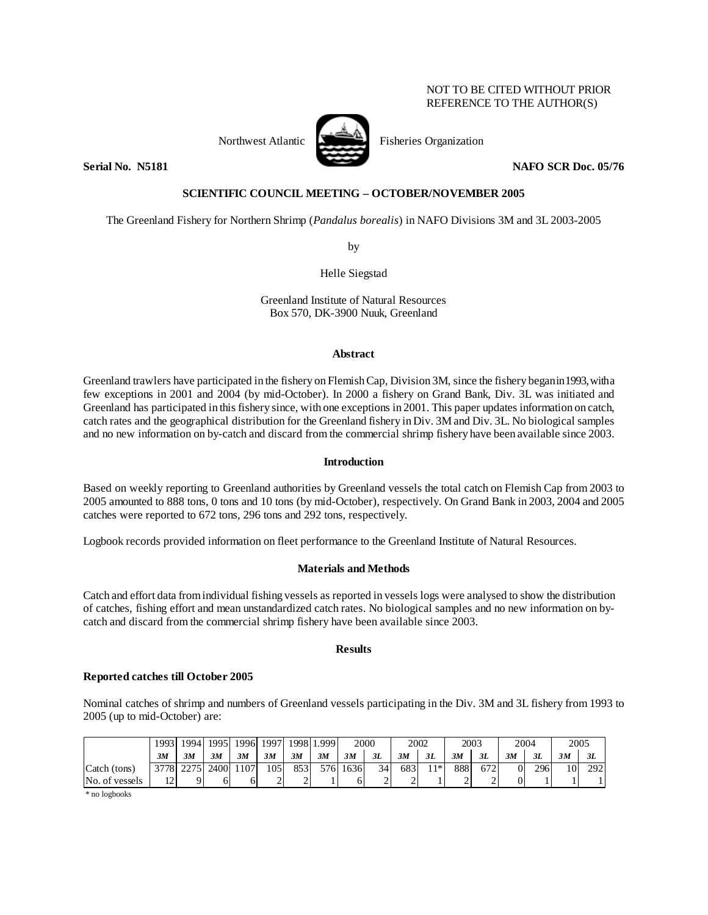### NOT TO BE CITED WITHOUT PRIOR REFERENCE TO THE AUTHOR(S)



Northwest Atlantic Fisheries Organization

**Serial No. (15181 188)** NAFO SCR Doc. 05/76

# **SCIENTIFIC COUNCIL MEETING – OCTOBER/NOVEMBER 2005**

The Greenland Fishery for Northern Shrimp (*Pandalus borealis*) in NAFO Divisions 3M and 3L 2003-2005

by

Helle Siegstad

Greenland Institute of Natural Resources Box 570, DK-3900 Nuuk, Greenland

### **Abstract**

Greenland trawlers have participated in the fishery on Flemish Cap, Division 3M, since the fishery began in 1993, with a few exceptions in 2001 and 2004 (by mid-October). In 2000 a fishery on Grand Bank, Div. 3L was initiated and Greenland has participated in this fishery since, with one exceptions in 2001. This paper updates information on catch, catch rates and the geographical distribution for the Greenland fishery in Div. 3M and Div. 3L. No biological samples and no new information on by-catch and discard from the commercial shrimp fishery have been available since 2003.

## **Introduction**

Based on weekly reporting to Greenland authorities by Greenland vessels the total catch on Flemish Cap from 2003 to 2005 amounted to 888 tons, 0 tons and 10 tons (by mid-October), respectively. On Grand Bank in 2003, 2004 and 2005 catches were reported to 672 tons, 296 tons and 292 tons, respectively.

Logbook records provided information on fleet performance to the Greenland Institute of Natural Resources.

## **Materials and Methods**

Catch and effort data from individual fishing vessels as reported in vessels logs were analysed to show the distribution of catches, fishing effort and mean unstandardized catch rates. No biological samples and no new information on bycatch and discard from the commercial shrimp fishery have been available since 2003.

### **Results**

## **Reported catches till October 2005**

Nominal catches of shrimp and numbers of Greenland vessels participating in the Div. 3M and 3L fishery from 1993 to 2005 (up to mid-October) are:

|                | 1993    | 19941     | 1995 | 1996 | 1997        |      | 1998 1.999 | 2000 |    | 2002 |       |     | 2003 | 2004 |     | 2005            |     |
|----------------|---------|-----------|------|------|-------------|------|------------|------|----|------|-------|-----|------|------|-----|-----------------|-----|
|                | 3M      | 3M        | 3M   | 3M   | 3M          | 3M   | 3M         | 3M   | 3L | 3M   | 3L    | 3M  | 3L   | 3M   | 3L  | 3M              | 3L  |
| Catch (tons)   |         | 3778 2275 | 2400 | 107  | 105         | 8531 | 5761       | 1636 | 34 | 683  | $11*$ | 888 | 672  |      | 296 | 10 <sup> </sup> | 292 |
| No. of vessels | 1つ<br>∸ |           | 6    | h.   | $\sim$<br>∼ |      |            |      | ↩  | -    |       |     |      |      |     |                 |     |

\* no logbooks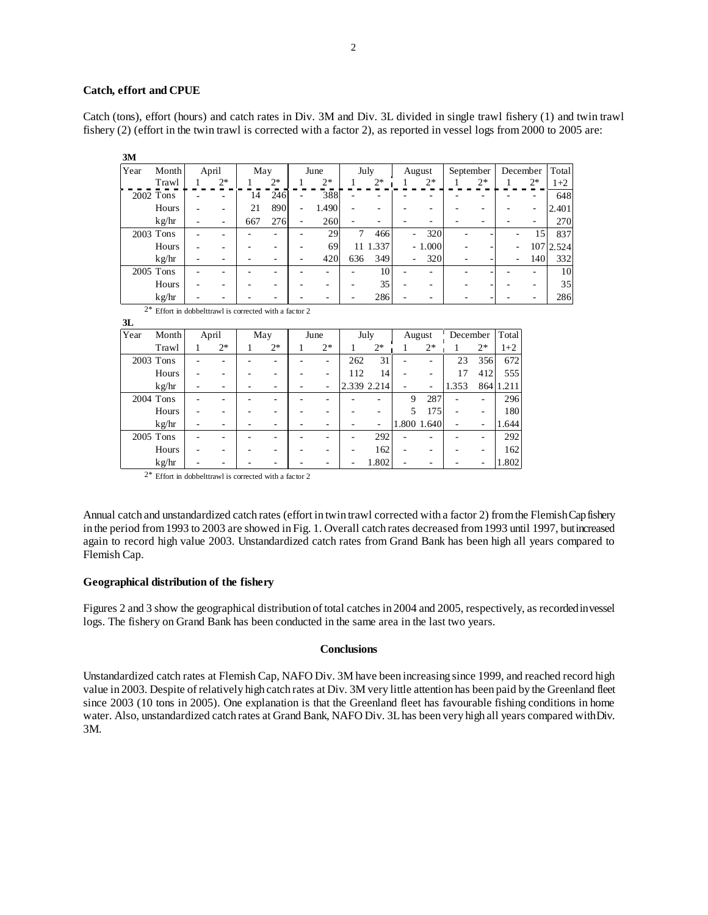#### **Catch, effort and CPUE**

Catch (tons), effort (hours) and catch rates in Div. 3M and Div. 3L divided in single trawl fishery (1) and twin trawl fishery (2) (effort in the twin trawl is corrected with a factor 2), as reported in vessel logs from 2000 to 2005 are:

| Year | Month     | April |      | May |      | June |      | July |                 | August |          | September |      | December |      | Total     |
|------|-----------|-------|------|-----|------|------|------|------|-----------------|--------|----------|-----------|------|----------|------|-----------|
|      | Trawl     |       | $2*$ |     | $2*$ |      | $2*$ |      | $2*$            |        | $2*$     |           | $2*$ |          | $2*$ | $1+2$     |
|      | 2002 Tons |       |      | 14  | 246  |      | 388  |      |                 |        |          |           |      |          |      | 648       |
|      | Hours     |       |      | 21  | 890  | ۰    | .490 |      |                 |        |          |           |      |          | ۰    | 2.401     |
|      | kg/hr     |       |      | 667 | 276  |      | 260  |      |                 |        |          |           |      |          |      | 270       |
|      | 2003 Tons |       |      |     |      |      | 29   | 7    | 466             | ٠      | 320      |           |      |          | 15   | 837       |
|      | Hours     |       |      |     |      |      | 69   |      | 11 1.337        |        | $-1.000$ |           |      | ٠        |      | 107 2.524 |
|      | kg/hr     |       |      |     |      |      | 420  | 636  | 349             | ٠      | 320      |           |      |          | 140  | 332       |
|      | 2005 Tons |       |      |     |      |      |      |      | 10 <sup>1</sup> |        |          |           |      |          |      | 10        |
|      | Hours     |       |      |     |      |      |      |      | 35              |        |          |           |      |          |      | 35        |
|      | kg/hr     |       |      |     |      |      |      |      | 286             |        |          |           |      |          |      | 286       |

2\* Effort in dobbelttrawl is corrected with a factor 2

**3L**

| Year | Month       | April |      | May |      | June |                          | July |             | August |             | December |      | Total |
|------|-------------|-------|------|-----|------|------|--------------------------|------|-------------|--------|-------------|----------|------|-------|
|      | Trawl       |       | $2*$ |     | $2*$ |      | $2*$                     |      | $2*$        |        | $2*$        |          | $2*$ | $1+2$ |
|      | 2003 Tons   |       |      |     |      |      | ۰                        | 262  | 31          |        |             | 23       | 356  | 672   |
|      | Hours       |       |      |     |      |      |                          | 112  | 14          |        |             | 17       | 412  | 555   |
|      | kg/hr       |       |      |     |      |      | ۰                        |      | 2.339 2.214 |        | ۰           | 1.353    | 864  | .211  |
|      | 2004 Tons   |       |      |     |      |      |                          |      |             | 9      | 287         |          | -    | 296   |
|      | Hours       |       |      |     |      |      |                          |      |             | 5      | 175         |          |      | 180   |
|      | kg/hr       |       |      |     |      |      |                          |      |             |        | 1.800 1.640 |          |      | 1.644 |
|      | $2005$ Tons |       |      |     |      |      | $\overline{\phantom{0}}$ |      | 292         |        |             |          | -    | 292   |
|      | Hours       |       |      |     |      |      |                          |      | 162         |        |             |          |      | 162   |
|      | kg/hr       |       |      |     |      |      |                          |      | 1.802       |        |             |          |      | 1.802 |

2\* Effort in dobbelttrawl is corrected with a factor 2

Annual catch and unstandardized catch rates (effort in twin trawl corrected with a factor 2) from the Flemish Cap fishery in the period from 1993 to 2003 are showed in Fig. 1. Overall catch rates decreased from 1993 until 1997, but increased again to record high value 2003. Unstandardized catch rates from Grand Bank has been high all years compared to Flemish Cap.

#### **Geographical distribution of the fishery**

Figures 2 and 3 show the geographical distribution of total catches in 2004 and 2005, respectively, as recorded in vessel logs. The fishery on Grand Bank has been conducted in the same area in the last two years.

### **Conclusions**

Unstandardized catch rates at Flemish Cap, NAFO Div. 3M have been increasing since 1999, and reached record high value in 2003. Despite of relatively high catch rates at Div. 3M very little attention has been paid by the Greenland fleet since 2003 (10 tons in 2005). One explanation is that the Greenland fleet has favourable fishing conditions in home water. Also, unstandardized catch rates at Grand Bank, NAFO Div. 3L has been very high all years compared with Div. 3M.